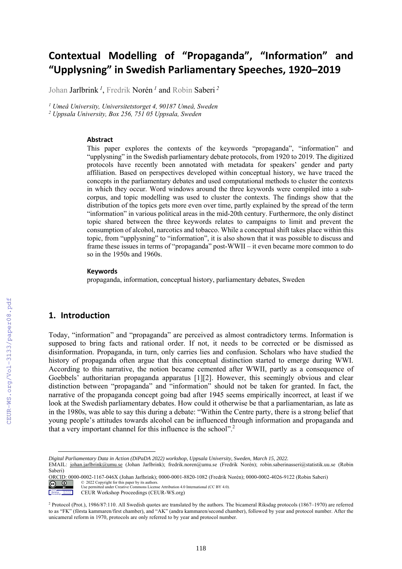# **Contextual Modelling of "Propaganda" , "Information" and "Upplysning" in Swedish Parliamentary Speeches, 1920–2019**

Johan Jarlbrink *<sup>1</sup>* , Fredrik Norén *<sup>1</sup>* and Robin Saberi *<sup>2</sup>*

*<sup>1</sup> Umeå University, Universitetstorget 4, 90187 Umeå, Sweden*

*<sup>2</sup> Uppsala University, Box 256, 751 05 Uppsala, Sweden*

#### **Abstract**

This paper explores the contexts of the keywords "propaganda", "information" and "upplysning" in the Swedish parliamentary debate protocols, from 1920 to 2019. The digitized protocols have recently been annotated with metadata for speakers' gender and party affiliation. Based on perspectives developed within conceptual history, we have traced the concepts in the parliamentary debates and used computational methods to cluster the contexts in which they occur. Word windows around the three keywords were compiled into a subcorpus, and topic modelling was used to cluster the contexts. The findings show that the distribution of the topics gets more even over time, partly explained by the spread of the term "information" in various political areas in the mid-20th century. Furthermore, the only distinct topic shared between the three keywords relates to campaigns to limit and prevent the consumption of alcohol, narcotics and tobacco. While a conceptual shift takes place within this topic, from "upplysning" to "information", it is also shown that it was possible to discuss and frame these issues in terms of "propaganda" post-WWII – it even became more common to do so in the 1950s and 1960s.

#### **Keywords 1**

propaganda, information, conceptual history, parliamentary debates, Sweden

### **1. Introduction**

CEUR Workshop Proceedings

 $\odot$ 

Today, "information" and "propaganda" are perceived as almost contradictory terms. Information is supposed to bring facts and rational order. If not, it needs to be corrected or be dismissed as disinformation. Propaganda, in turn, only carries lies and confusion. Scholars who have studied the history of propaganda often argue that this conceptual distinction started to emerge during WWI. According to this narrative, the notion became cemented after WWII, partly as a consequence of Goebbels' authoritarian propaganda apparatus [1][2]. However, this seemingly obvious and clear distinction between "propaganda" and "information" should not be taken for granted. In fact, the narrative of the propaganda concept going bad after 1945 seems empirically incorrect, at least if we look at the Swedish parliamentary debates. How could it otherwise be that a parliamentarian, as late as in the 1980s, was able to say this during a debate: "Within the Centre party, there is a strong belief that young people's attitudes towards alcohol can be influenced through information and propaganda and that a very important channel for this influence is the school". 2

*Digital Parliamentary Data in Action (DiPaDA 2022) workshop, Uppsala University, Sweden, March 15, 2022.*

EMAIL: johan.jarlbrink@umu.se (Johan Jarlbrink); fredrik.noren@umu.se (Fredrik Norén); robin.saberinasseri@statistik.uu.se (Robin Saberi)

ORCID: 0000-0002-1167-046X (Johan Jarlbrink); 0000-0001-8820-1082 (Fredrik Norén); 0000-0002-4026-9122 (Robin Saberi)

 $\odot$ © 2022 Copyright for this paper by its authors. Use permitted under Creative Commons License Attribution 4.0 International (CC BY 4.0).

CEUR Workshop Proceedings (CEUR-WS.org)

<sup>2</sup> Protocol (Prot.), 1986/87:110. All Swedish quotes are translated by the authors. The bicameral Riksdag protocols (1867–1970) are referred to as "FK" (första kammaren/first chamber), and "AK" (andra kammaren/second chamber), followed by year and protocol number. After the unicameral reform in 1970, protocols are only referred to by year and protocol number.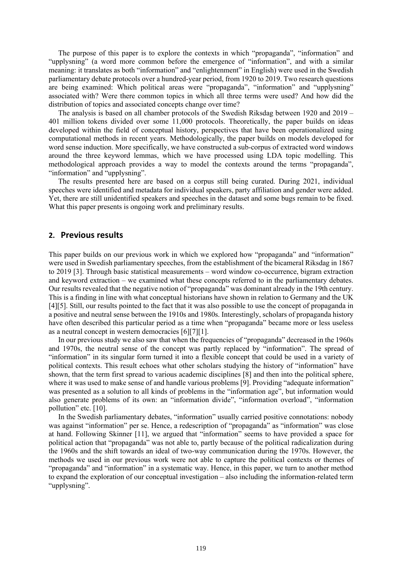The purpose of this paper is to explore the contexts in which "propaganda", "information" and "upplysning" (a word more common before the emergence of "information", and with a similar meaning: it translates as both "information" and "enlightenment" in English) were used in the Swedish parliamentary debate protocols over a hundred-year period, from 1920 to 2019. Two research questions are being examined: Which political areas were "propaganda", "information" and "upplysning" associated with? Were there common topics in which all three terms were used? And how did the distribution of topics and associated concepts change over time?

The analysis is based on all chamber protocols of the Swedish Riksdag between 1920 and 2019 – 401 million tokens divided over some 11,000 protocols. Theoretically, the paper builds on ideas developed within the field of conceptual history, perspectives that have been operationalized using computational methods in recent years. Methodologically, the paper builds on models developed for word sense induction. More specifically, we have constructed a sub-corpus of extracted word windows around the three keyword lemmas, which we have processed using LDA topic modelling. This methodological approach provides a way to model the contexts around the terms "propaganda", "information" and "upplysning".

The results presented here are based on a corpus still being curated. During 2021, individual speeches were identified and metadata for individual speakers, party affiliation and gender were added. Yet, there are still unidentified speakers and speeches in the dataset and some bugs remain to be fixed. What this paper presents is ongoing work and preliminary results.

### **2. Previous results**

This paper builds on our previous work in which we explored how "propaganda" and "information" were used in Swedish parliamentary speeches, from the establishment of the bicameral Riksdag in 1867 to 2019 [3]. Through basic statistical measurements – word window co-occurrence, bigram extraction and keyword extraction – we examined what these concepts referred to in the parliamentary debates. Our results revealed that the negative notion of "propaganda" was dominant already in the 19th century. This is a finding in line with what conceptual historians have shown in relation to Germany and the UK [4][5]. Still, our results pointed to the fact that it was also possible to use the concept of propaganda in a positive and neutral sense between the 1910s and 1980s. Interestingly, scholars of propaganda history have often described this particular period as a time when "propaganda" became more or less useless as a neutral concept in western democracies [6][7][1].

In our previous study we also saw that when the frequencies of "propaganda" decreased in the 1960s and 1970s, the neutral sense of the concept was partly replaced by "information". The spread of "information" in its singular form turned it into a flexible concept that could be used in a variety of political contexts. This result echoes what other scholars studying the history of "information" have shown, that the term first spread to various academic disciplines [8] and then into the political sphere, where it was used to make sense of and handle various problems [9]. Providing "adequate information" was presented as a solution to all kinds of problems in the "information age", but information would also generate problems of its own: an "information divide", "information overload", "information pollution" etc. [10].

In the Swedish parliamentary debates, "information" usually carried positive connotations: nobody was against "information" per se. Hence, a redescription of "propaganda" as "information" was close at hand. Following Skinner [11], we argued that "information" seems to have provided a space for political action that "propaganda" was not able to, partly because of the political radicalization during the 1960s and the shift towards an ideal of two-way communication during the 1970s. However, the methods we used in our previous work were not able to capture the political contexts or themes of "propaganda" and "information" in a systematic way. Hence, in this paper, we turn to another method to expand the exploration of our conceptual investigation – also including the information-related term "upplysning".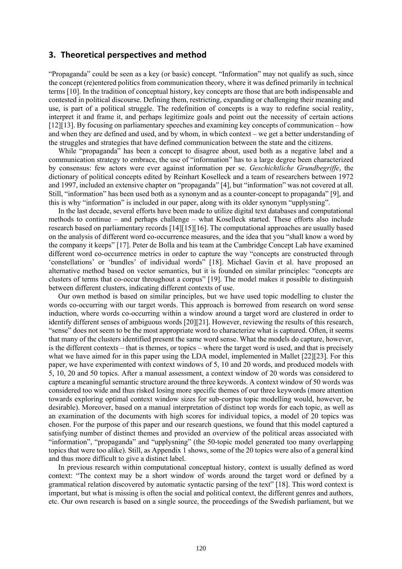### **3. Theoretical perspectives and method**

"Propaganda" could be seen as a key (or basic) concept. "Information" may not qualify as such, since the concept (re)entered politics from communication theory, where it was defined primarily in technical terms [10]. In the tradition of conceptual history, key concepts are those that are both indispensable and contested in political discourse. Defining them, restricting, expanding or challenging their meaning and use, is part of a political struggle. The redefinition of concepts is a way to redefine social reality, interpret it and frame it, and perhaps legitimize goals and point out the necessity of certain actions [12][13]. By focusing on parliamentary speeches and examining key concepts of communication – how and when they are defined and used, and by whom, in which context – we get a better understanding of the struggles and strategies that have defined communication between the state and the citizens.

While "propaganda" has been a concept to disagree about, used both as a negative label and a communication strategy to embrace, the use of "information" has to a large degree been characterized by consensus: few actors were ever against information per se. *Geschichtliche Grundbegriffe*, the dictionary of political concepts edited by Reinhart Koselleck and a team of researchers between 1972 and 1997, included an extensive chapter on "propaganda" [4], but "information" was not covered at all. Still, "information" has been used both as a synonym and as a counter-concept to propaganda" [9], and this is why "information" is included in our paper, along with its older synonym "upplysning".

In the last decade, several efforts have been made to utilize digital text databases and computational methods to continue – and perhaps challenge – what Koselleck started. These efforts also include research based on parliamentary records [14][15][16]. The computational approaches are usually based on the analysis of different word co-occurrence measures, and the idea that you "shall know a word by the company it keeps" [17]. Peter de Bolla and his team at the Cambridge Concept Lab have examined different word co-occurrence metrics in order to capture the way "concepts are constructed through 'constellations' or 'bundles' of individual words" [18]. Michael Gavin et al. have proposed an alternative method based on vector semantics, but it is founded on similar principles: "concepts are clusters of terms that co-occur throughout a corpus" [19]. The model makes it possible to distinguish between different clusters, indicating different contexts of use.

Our own method is based on similar principles, but we have used topic modelling to cluster the words co-occurring with our target words. This approach is borrowed from research on word sense induction, where words co-occurring within a window around a target word are clustered in order to identify different senses of ambiguous words [20][21]. However, reviewing the results of this research, "sense" does not seem to be the most appropriate word to characterize what is captured. Often, it seems that many of the clusters identified present the same word sense. What the models do capture, however, is the different contexts – that is themes, or topics – where the target word is used, and that is precisely what we have aimed for in this paper using the LDA model, implemented in Mallet [22][23]. For this paper, we have experimented with context windows of 5, 10 and 20 words, and produced models with 5, 10, 20 and 50 topics. After a manual assessment, a context window of 20 words was considered to capture a meaningful semantic structure around the three keywords. A context window of 50 words was considered too wide and thus risked losing more specific themes of our three keywords (more attention towards exploring optimal context window sizes for sub-corpus topic modelling would, however, be desirable). Moreover, based on a manual interpretation of distinct top words for each topic, as well as an examination of the documents with high scores for individual topics, a model of 20 topics was chosen. For the purpose of this paper and our research questions, we found that this model captured a satisfying number of distinct themes and provided an overview of the political areas associated with "information", "propaganda" and "upplysning" (the 50-topic model generated too many overlapping topics that were too alike). Still, as Appendix 1 shows, some of the 20 topics were also of a general kind and thus more difficult to give a distinct label.

In previous research within computational conceptual history, context is usually defined as word context: "The context may be a short window of words around the target word or defined by a grammatical relation discovered by automatic syntactic parsing of the text" [18]. This word context is important, but what is missing is often the social and political context, the different genres and authors, etc. Our own research is based on a single source, the proceedings of the Swedish parliament, but we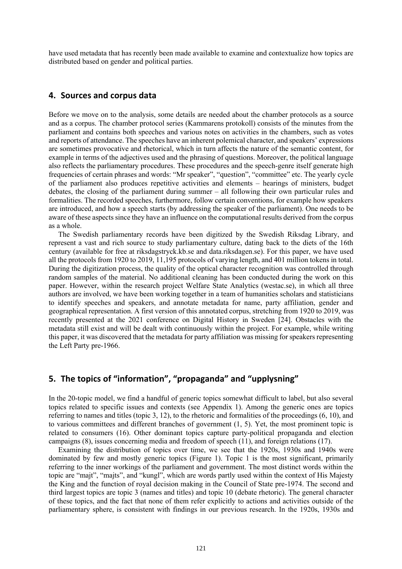have used metadata that has recently been made available to examine and contextualize how topics are distributed based on gender and political parties.

### **4. Sources and corpus data**

Before we move on to the analysis, some details are needed about the chamber protocols as a source and as a corpus. The chamber protocol series (Kammarens protokoll) consists of the minutes from the parliament and contains both speeches and various notes on activities in the chambers, such as votes and reports of attendance. The speeches have an inherent polemical character, and speakers' expressions are sometimes provocative and rhetorical, which in turn affects the nature of the semantic content, for example in terms of the adjectives used and the phrasing of questions. Moreover, the political language also reflects the parliamentary procedures. These procedures and the speech-genre itself generate high frequencies of certain phrases and words: "Mr speaker", "question", "committee" etc. The yearly cycle of the parliament also produces repetitive activities and elements – hearings of ministers, budget debates, the closing of the parliament during summer – all following their own particular rules and formalities. The recorded speeches, furthermore, follow certain conventions, for example how speakers are introduced, and how a speech starts (by addressing the speaker of the parliament). One needs to be aware of these aspects since they have an influence on the computational results derived from the corpus as a whole.

The Swedish parliamentary records have been digitized by the Swedish Riksdag Library, and represent a vast and rich source to study parliamentary culture, dating back to the diets of the 16th century (available for free at riksdagstryck.kb.se and data.riksdagen.se). For this paper, we have used all the protocols from 1920 to 2019, 11,195 protocols of varying length, and 401 million tokens in total. During the digitization process, the quality of the optical character recognition was controlled through random samples of the material. No additional cleaning has been conducted during the work on this paper. However, within the research project Welfare State Analytics (westac.se), in which all three authors are involved, we have been working together in a team of humanities scholars and statisticians to identify speeches and speakers, and annotate metadata for name, party affiliation, gender and geographical representation. A first version of this annotated corpus, stretching from 1920 to 2019, was recently presented at the 2021 conference on Digital History in Sweden [24]. Obstacles with the metadata still exist and will be dealt with continuously within the project. For example, while writing this paper, it was discovered that the metadata for party affiliation was missing for speakers representing the Left Party pre-1966.

## **5. The topics of "information", "propaganda" and "upplysning"**

In the 20-topic model, we find a handful of generic topics somewhat difficult to label, but also several topics related to specific issues and contexts (see Appendix 1). Among the generic ones are topics referring to names and titles (topic 3, 12), to the rhetoric and formalities of the proceedings (6, 10), and to various committees and different branches of government (1, 5). Yet, the most prominent topic is related to consumers (16). Other dominant topics capture party-political propaganda and election campaigns (8), issues concerning media and freedom of speech (11), and foreign relations (17).

Examining the distribution of topics over time, we see that the 1920s, 1930s and 1940s were dominated by few and mostly generic topics (Figure 1). Topic 1 is the most significant, primarily referring to the inner workings of the parliament and government. The most distinct words within the topic are "majt", "majts", and "kungl", which are words partly used within the context of His Majesty the King and the function of royal decision making in the Council of State pre-1974. The second and third largest topics are topic 3 (names and titles) and topic 10 (debate rhetoric). The general character of these topics, and the fact that none of them refer explicitly to actions and activities outside of the parliamentary sphere, is consistent with findings in our previous research. In the 1920s, 1930s and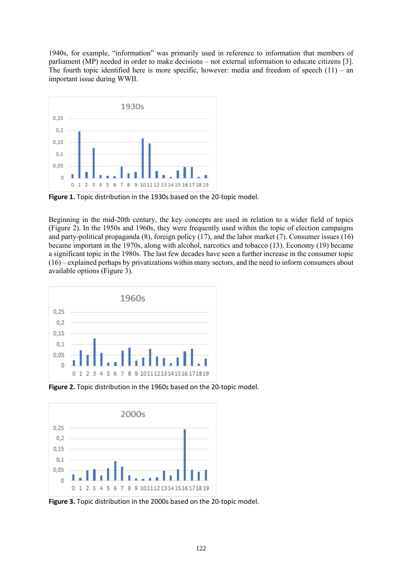1940s, for example, "information" was primarily used in reference to information that members of parliament (MP) needed in order to make decisions – not external information to educate citizens [3]. The fourth topic identified here is more specific, however: media and freedom of speech  $(11)$  – an important issue during WWII.



**Figure 1.** Topic distribution in the 1930s based on the 20-topic model.

Beginning in the mid-20th century, the key concepts are used in relation to a wider field of topics (Figure 2). In the 1950s and 1960s, they were frequently used within the topic of election campaigns and party-political propaganda (8), foreign policy (17), and the labor market (7). Consumer issues (16) became important in the 1970s, along with alcohol, narcotics and tobacco (13). Economy (19) became a significant topic in the 1980s. The last few decades have seen a further increase in the consumer topic  $(16)$  – explained perhaps by privatizations within many sectors, and the need to inform consumers about available options (Figure 3).



**Figure 2.** Topic distribution in the 1960s based on the 20-topic model.



**Figure 3.** Topic distribution in the 2000s based on the 20-topic model.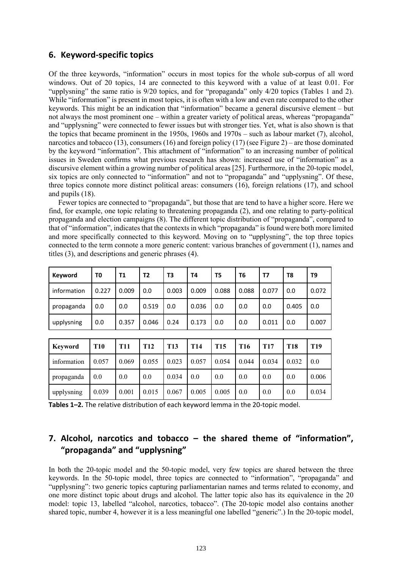## **6. Keyword-specific topics**

Of the three keywords, "information" occurs in most topics for the whole sub-corpus of all word windows. Out of 20 topics, 14 are connected to this keyword with a value of at least 0.01. For "upplysning" the same ratio is 9/20 topics, and for "propaganda" only 4/20 topics (Tables 1 and 2). While "information" is present in most topics, it is often with a low and even rate compared to the other keywords. This might be an indication that "information" became a general discursive element – but not always the most prominent one – within a greater variety of political areas, whereas "propaganda" and "upplysning" were connected to fewer issues but with stronger ties. Yet, what is also shown is that the topics that became prominent in the 1950s, 1960s and 1970s – such as labour market (7), alcohol, narcotics and tobacco (13), consumers (16) and foreign policy (17) (see Figure 2) – are those dominated by the keyword "information". This attachment of "information" to an increasing number of political issues in Sweden confirms what previous research has shown: increased use of "information" as a discursive element within a growing number of political areas [25]. Furthermore, in the 20-topic model, six topics are only connected to "information" and not to "propaganda" and "upplysning". Of these, three topics connote more distinct political areas: consumers (16), foreign relations (17), and school and pupils (18).

Fewer topics are connected to "propaganda", but those that are tend to have a higher score. Here we find, for example, one topic relating to threatening propaganda (2), and one relating to party-political propaganda and election campaigns (8). The different topic distribution of "propaganda", compared to that of "information", indicates that the contexts in which "propaganda" is found were both more limited and more specifically connected to this keyword. Moving on to "upplysning", the top three topics connected to the term connote a more generic content: various branches of government (1), names and titles (3), and descriptions and generic phrases (4).

| Keyword     | T0    | <b>T1</b> | T2    | T3    | Τ4    | T5    | T <sub>6</sub> | Т7    | T8    | T9    |
|-------------|-------|-----------|-------|-------|-------|-------|----------------|-------|-------|-------|
| information | 0.227 | 0.009     | 0.0   | 0.003 | 0.009 | 0.088 | 0.088          | 0.077 | 0.0   | 0.072 |
| propaganda  | 0.0   | 0.0       | 0.519 | 0.0   | 0.036 | 0.0   | 0.0            | 0.0   | 0.405 | 0.0   |
| upplysning  | 0.0   | 0.357     | 0.046 | 0.24  | 0.173 | 0.0   | 0.0            | 0.011 | 0.0   | 0.007 |

| Kevword     | <b>T10</b> | <b>T11</b> | <b>T12</b> | <b>T13</b> | <b>T14</b> | <b>T15</b> | T <sub>16</sub> | T <sub>17</sub> | T18   | <b>T19</b> |
|-------------|------------|------------|------------|------------|------------|------------|-----------------|-----------------|-------|------------|
| information | 0.057      | 0.069      | 0.055      | 0.023      | 0.057      | 0.054      | 0.044           | 0.034           | 0.032 | 0.0        |
| propaganda  | 0.0        | 0.0        | 0.0        | 0.034      | 0.0        | 0.0        | 0.0             | 0.0             | 0.0   | 0.006      |
| upplysning  | 0.039      | 0.001      | 0.015      | 0.067      | 0.005      | 0.005      | 0.0             | 0.0             | 0.0   | 0.034      |

**Tables 1–2.** The relative distribution of each keyword lemma in the 20-topic model.

# **7. Alcohol, narcotics and tobacco – the shared theme of "information", "propaganda" and "upplysning"**

In both the 20-topic model and the 50-topic model, very few topics are shared between the three keywords. In the 50-topic model, three topics are connected to "information", "propaganda" and "upplysning": two generic topics capturing parliamentarian names and terms related to economy, and one more distinct topic about drugs and alcohol. The latter topic also has its equivalence in the 20 model: topic 13, labelled "alcohol, narcotics, tobacco". (The 20-topic model also contains another shared topic, number 4, however it is a less meaningful one labelled "generic".) In the 20-topic model,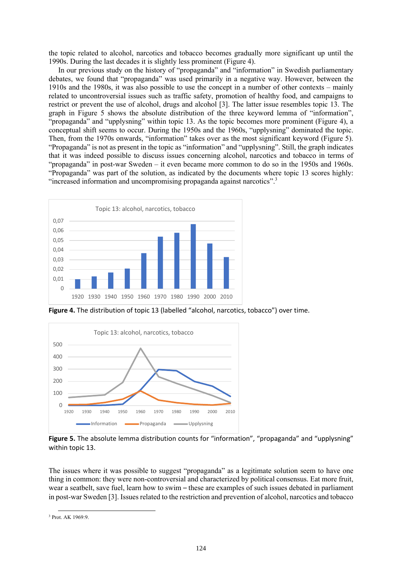the topic related to alcohol, narcotics and tobacco becomes gradually more significant up until the 1990s. During the last decades it is slightly less prominent (Figure 4).

In our previous study on the history of "propaganda" and "information" in Swedish parliamentary debates, we found that "propaganda" was used primarily in a negative way. However, between the 1910s and the 1980s, it was also possible to use the concept in a number of other contexts – mainly related to uncontroversial issues such as traffic safety, promotion of healthy food, and campaigns to restrict or prevent the use of alcohol, drugs and alcohol [3]. The latter issue resembles topic 13. The graph in Figure 5 shows the absolute distribution of the three keyword lemma of "information", "propaganda" and "upplysning" within topic 13. As the topic becomes more prominent (Figure 4), a conceptual shift seems to occur. During the 1950s and the 1960s, "upplysning" dominated the topic. Then, from the 1970s onwards, "information" takes over as the most significant keyword (Figure 5). "Propaganda" is not as present in the topic as "information" and "upplysning". Still, the graph indicates that it was indeed possible to discuss issues concerning alcohol, narcotics and tobacco in terms of "propaganda" in post-war Sweden – it even became more common to do so in the 1950s and 1960s. "Propaganda" was part of the solution, as indicated by the documents where topic 13 scores highly: "increased information and uncompromising propaganda against narcotics".<sup>3</sup>



**Figure 4.** The distribution of topic 13 (labelled "alcohol, narcotics, tobacco") over time.



**Figure 5.** The absolute lemma distribution counts for "information", "propaganda" and "upplysning" within topic 13.

The issues where it was possible to suggest "propaganda" as a legitimate solution seem to have one thing in common: they were non-controversial and characterized by political consensus. Eat more fruit, wear a seatbelt, save fuel, learn how to swim – these are examples of such issues debated in parliament in post-war Sweden [3]. Issues related to the restriction and prevention of alcohol, narcotics and tobacco

<sup>3</sup> Prot. AK 1969:9.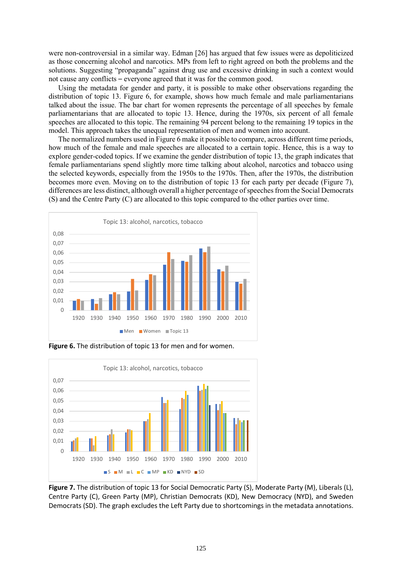were non-controversial in a similar way. Edman [26] has argued that few issues were as depoliticized as those concerning alcohol and narcotics. MPs from left to right agreed on both the problems and the solutions. Suggesting "propaganda" against drug use and excessive drinking in such a context would not cause any conflicts – everyone agreed that it was for the common good.

Using the metadata for gender and party, it is possible to make other observations regarding the distribution of topic 13. Figure 6, for example, shows how much female and male parliamentarians talked about the issue. The bar chart for women represents the percentage of all speeches by female parliamentarians that are allocated to topic 13. Hence, during the 1970s, six percent of all female speeches are allocated to this topic. The remaining 94 percent belong to the remaining 19 topics in the model. This approach takes the unequal representation of men and women into account.

The normalized numbers used in Figure 6 make it possible to compare, across different time periods, how much of the female and male speeches are allocated to a certain topic. Hence, this is a way to explore gender-coded topics. If we examine the gender distribution of topic 13, the graph indicates that female parliamentarians spend slightly more time talking about alcohol, narcotics and tobacco using the selected keywords, especially from the 1950s to the 1970s. Then, after the 1970s, the distribution becomes more even. Moving on to the distribution of topic 13 for each party per decade (Figure 7), differences are less distinct, although overall a higher percentage of speeches from the Social Democrats (S) and the Centre Party (C) are allocated to this topic compared to the other parties over time.



**Figure 6.** The distribution of topic 13 for men and for women.



**Figure 7.** The distribution of topic 13 for Social Democratic Party (S), Moderate Party (M), Liberals (L), Centre Party (C), Green Party (MP), Christian Democrats (KD), New Democracy (NYD), and Sweden Democrats (SD). The graph excludes the Left Party due to shortcomings in the metadata annotations.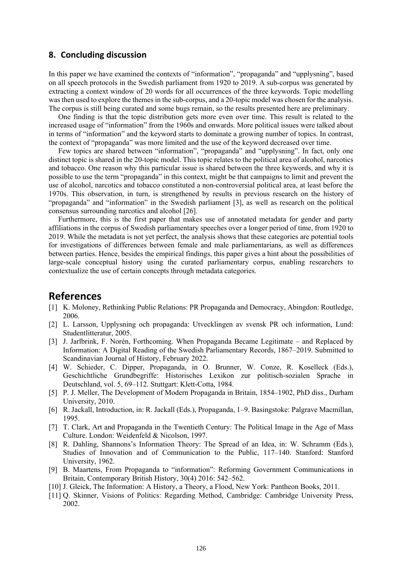### **8. Concluding discussion**

In this paper we have examined the contexts of "information", "propaganda" and "upplysning", based on all speech protocols in the Swedish parliament from 1920 to 2019. A sub-corpus was generated by extracting a context window of 20 words for all occurrences of the three keywords. Topic modelling was then used to explore the themes in the sub-corpus, and a 20-topic model was chosen for the analysis. The corpus is still being curated and some bugs remain, so the results presented here are preliminary.

One finding is that the topic distribution gets more even over time. This result is related to the increased usage of "information" from the 1960s and onwards. More political issues were talked about in terms of "information" and the keyword starts to dominate a growing number of topics. In contrast, the context of "propaganda" was more limited and the use of the keyword decreased over time.

Few topics are shared between "information", "propaganda" and "upplysning". In fact, only one distinct topic is shared in the 20-topic model. This topic relates to the political area of alcohol, narcotics and tobacco. One reason why this particular issue is shared between the three keywords, and why it is possible to use the term "propaganda" in this context, might be that campaigns to limit and prevent the use of alcohol, narcotics and tobacco constituted a non-controversial political area, at least before the 1970s. This observation, in turn, is strengthened by results in previous research on the history of "propaganda" and "information" in the Swedish parliament [3], as well as research on the political consensus surrounding narcotics and alcohol [26].

Furthermore, this is the first paper that makes use of annotated metadata for gender and party affiliations in the corpus of Swedish parliamentary speeches over a longer period of time, from 1920 to 2019. While the metadata is not yet perfect, the analysis shows that these categories are potential tools for investigations of differences between female and male parliamentarians, as well as differences between parties. Hence, besides the empirical findings, this paper gives a hint about the possibilities of large-scale conceptual history using the curated parliamentary corpus, enabling researchers to contextualize the use of certain concepts through metadata categories.

## **References**

- [1] K. Moloney, Rethinking Public Relations: PR Propaganda and Democracy, Abingdon: Routledge, 2006.
- [2] L. Larsson, Upplysning och propaganda: Utvecklingen av svensk PR och information, Lund: Studentlitteratur, 2005.
- [3] J. Jarlbrink, F. Norén, Forthcoming. When Propaganda Became Legitimate and Replaced by Information: A Digital Reading of the Swedish Parliamentary Records, 1867–2019. Submitted to Scandinavian Journal of History, February 2022.
- [4] W. Schieder, C. Dipper, Propaganda, in O. Brunner, W. Conze, R. Koselleck (Eds.), Geschichtliche Grundbegriffe: Historisches Lexikon zur politisch-sozialen Sprache in Deutschland, vol. 5, 69–112. Stuttgart: Klett-Cotta, 1984.
- [5] P. J. Meller, The Development of Modern Propaganda in Britain, 1854–1902, PhD diss., Durham University, 2010.
- [6] R. Jackall, Introduction, in: R. Jackall (Eds.), Propaganda, 1–9. Basingstoke: Palgrave Macmillan, 1995.
- [7] T. Clark, Art and Propaganda in the Twentieth Century: The Political Image in the Age of Mass Culture. London: Weidenfeld & Nicolson, 1997.
- [8] R. Dahling, Shannons's Information Theory: The Spread of an Idea, in: W. Schramm (Eds.), Studies of Innovation and of Communication to the Public, 117–140. Stanford: Stanford University, 1962.
- [9] B. Maartens, From Propaganda to "information": Reforming Government Communications in Britain, Contemporary British History, 30(4) 2016: 542–562.
- [10] J. Gleick, The Information: A History, a Theory, a Flood, New York: Pantheon Books, 2011.
- [11] Q. Skinner, Visions of Politics: Regarding Method, Cambridge: Cambridge University Press, 2002.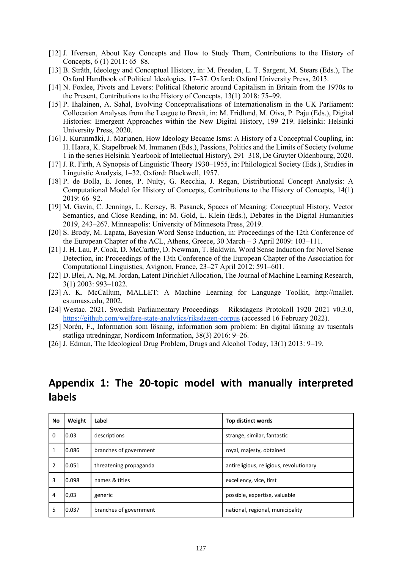- [12] J. Ifversen, About Key Concepts and How to Study Them, Contributions to the History of Concepts, 6 (1) 2011: 65–88.
- [13] B. Stråth, Ideology and Conceptual History, in: M. Freeden, L. T. Sargent, M. Stears (Eds.), The Oxford Handbook of Political Ideologies, 17–37. Oxford: Oxford University Press, 2013.
- [14] N. Foxlee, Pivots and Levers: Political Rhetoric around Capitalism in Britain from the 1970s to the Present, Contributions to the History of Concepts, 13(1) 2018: 75–99.
- [15] P. Ihalainen, A. Sahal, Evolving Conceptualisations of Internationalism in the UK Parliament: Collocation Analyses from the League to Brexit, in: M. Fridlund, M. Oiva, P. Paju (Eds.), Digital Histories: Emergent Approaches within the New Digital History, 199–219. Helsinki: Helsinki University Press, 2020.
- [16] J. Kurunmäki, J. Marjanen, How Ideology Became Isms: A History of a Conceptual Coupling, in: H. Haara, K. Stapelbroek M. Immanen (Eds.), Passions, Politics and the Limits of Society (volume 1 in the series Helsinki Yearbook of Intellectual History), 291–318, De Gruyter Oldenbourg, 2020.
- [17] J. R. Firth, A Synopsis of Linguistic Theory 1930–1955, in: Philological Society (Eds.), Studies in Linguistic Analysis, 1–32. Oxford: Blackwell, 1957.
- [18] P. de Bolla, E. Jones, P. Nulty, G. Recchia, J. Regan, Distributional Concept Analysis: A Computational Model for History of Concepts, Contributions to the History of Concepts, 14(1) 2019: 66–92.
- [19] M. Gavin, C. Jennings, L. Kersey, B. Pasanek, Spaces of Meaning: Conceptual History, Vector Semantics, and Close Reading, in: M. Gold, L. Klein (Eds.), Debates in the Digital Humanities 2019, 243–267. Minneapolis: University of Minnesota Press, 2019.
- [20] S. Brody, M. Lapata, Bayesian Word Sense Induction, in: Proceedings of the 12th Conference of the European Chapter of the ACL, Athens, Greece, 30 March – 3 April 2009: 103–111.
- [21] J. H. Lau, P. Cook, D. McCarthy, D. Newman, T. Baldwin, Word Sense Induction for Novel Sense Detection, in: Proceedings of the 13th Conference of the European Chapter of the Association for Computational Linguistics, Avignon, France, 23–27 April 2012: 591–601.
- [22] D. Blei, A. Ng, M.Jordan, Latent Dirichlet Allocation, The Journal of Machine Learning Research, 3(1) 2003: 993–1022.
- [23] A. K. McCallum, MALLET: A Machine Learning for Language Toolkit, http://mallet. cs.umass.edu, 2002.
- [24] Westac. 2021. Swedish Parliamentary Proceedings Riksdagens Protokoll 1920–2021 v0.3.0, https://github.com/welfare-state-analytics/riksdagen-corpus (accessed 16 February 2022).
- [25] Norén, F., Information som lösning, information som problem: En digital läsning av tusentals statliga utredningar, Nordicom Information, 38(3) 2016: 9–26.
- [26] J. Edman, The Ideological Drug Problem, Drugs and Alcohol Today, 13(1) 2013: 9–19.

# **Appendix 1: The 20-topic model with manually interpreted labels**

| No | Weight | Label                  | Top distinct words                      |  |  |
|----|--------|------------------------|-----------------------------------------|--|--|
| 0  | 0.03   | descriptions           | strange, similar, fantastic             |  |  |
|    | 0.086  | branches of government | royal, majesty, obtained                |  |  |
| 2  | 0.051  | threatening propaganda | antireligious, religious, revolutionary |  |  |
| 3  | 0.098  | names & titles         | excellency, vice, first                 |  |  |
| 4  | 0,03   | generic                | possible, expertise, valuable           |  |  |
| 5  | 0.037  | branches of government | national, regional, municipality        |  |  |